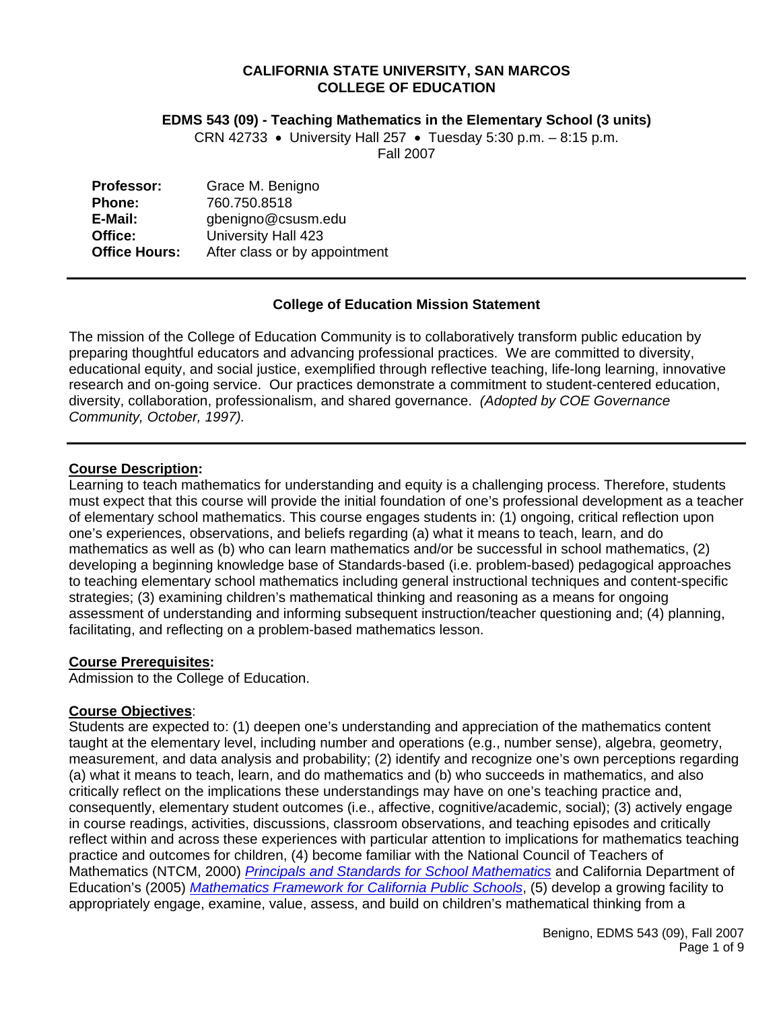#### **CALIFORNIA STATE UNIVERSITY, SAN MARCOS COLLEGE OF EDUCATION**

#### **EDMS 543 (09) - Teaching Mathematics in the Elementary School (3 units)**

CRN 42733 • University Hall 257 • Tuesday 5:30 p.m. – 8:15 p.m. Fall 2007

| <b>Professor:</b>    | Grace M. Benigno              |
|----------------------|-------------------------------|
| Phone:               | 760.750.8518                  |
| E-Mail:              | gbenigno@csusm.edu            |
| Office:              | University Hall 423           |
| <b>Office Hours:</b> | After class or by appointment |

### **College of Education Mission Statement**

The mission of the College of Education Community is to collaboratively transform public education by preparing thoughtful educators and advancing professional practices. We are committed to diversity, educational equity, and social justice, exemplified through reflective teaching, life-long learning, innovative research and on-going service. Our practices demonstrate a commitment to student-centered education, diversity, collaboration, professionalism, and shared governance. *(Adopted by COE Governance Community, October, 1997).* 

#### **Course Description:**

Learning to teach mathematics for understanding and equity is a challenging process. Therefore, students must expect that this course will provide the initial foundation of one's professional development as a teacher of elementary school mathematics. This course engages students in: (1) ongoing, critical reflection upon one's experiences, observations, and beliefs regarding (a) what it means to teach, learn, and do mathematics as well as (b) who can learn mathematics and/or be successful in school mathematics, (2) developing a beginning knowledge base of Standards-based (i.e. problem-based) pedagogical approaches to teaching elementary school mathematics including general instructional techniques and content-specific strategies; (3) examining children's mathematical thinking and reasoning as a means for ongoing assessment of understanding and informing subsequent instruction/teacher questioning and; (4) planning, facilitating, and reflecting on a problem-based mathematics lesson.

### **Course Prerequisites:**

Admission to the College of Education.

### **Course Objectives**:

Students are expected to: (1) deepen one's understanding and appreciation of the mathematics content taught at the elementary level, including number and operations (e.g., number sense), algebra, geometry, measurement, and data analysis and probability; (2) identify and recognize one's own perceptions regarding (a) what it means to teach, learn, and do mathematics and (b) who succeeds in mathematics, and also critically reflect on the implications these understandings may have on one's teaching practice and, consequently, elementary student outcomes (i.e., affective, cognitive/academic, social); (3) actively engage in course readings, activities, discussions, classroom observations, and teaching episodes and critically reflect within and across these experiences with particular attention to implications for mathematics teaching practice and outcomes for children, (4) become familiar with the National Council of Teachers of Mathematics (NTCM, 2000) *Principals and Standards for School Mathematics* and California Department of Education's (2005) *Mathematics Framework for California Public Schools*, (5) develop a growing facility to appropriately engage, examine, value, assess, and build on children's mathematical thinking from a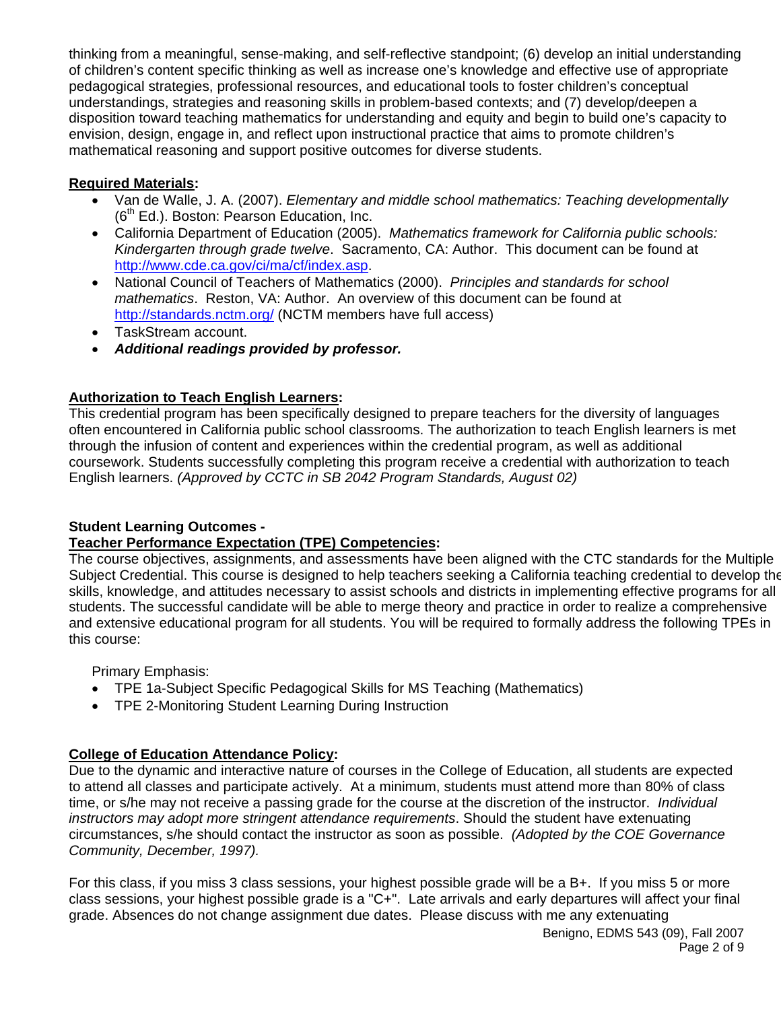thinking from a meaningful, sense-making, and self-reflective standpoint; (6) develop an initial understanding of children's content specific thinking as well as increase one's knowledge and effective use of appropriate pedagogical strategies, professional resources, and educational tools to foster children's conceptual understandings, strategies and reasoning skills in problem-based contexts; and (7) develop/deepen a disposition toward teaching mathematics for understanding and equity and begin to build one's capacity to envision, design, engage in, and reflect upon instructional practice that aims to promote children's mathematical reasoning and support positive outcomes for diverse students.

# **Required Materials:**

- Van de Walle, J. A. (2007). *Elementary and middle school mathematics: Teaching developmentally*  $(6<sup>th</sup> Ed.)$ . Boston: Pearson Education, Inc.
- California Department of Education (2005). *Mathematics framework for California public schools: Kindergarten through grade twelve*. Sacramento, CA: Author. This document can be found at http://www.cde.ca.gov/ci/ma/cf/index.asp.
- National Council of Teachers of Mathematics (2000). *Principles and standards for school mathematics*. Reston, VA: Author. An overview of this document can be found at http://standards.nctm.org/ (NCTM members have full access)
- TaskStream account.
- *Additional readings provided by professor.*

# **Authorization to Teach English Learners:**

This credential program has been specifically designed to prepare teachers for the diversity of languages often encountered in California public school classrooms. The authorization to teach English learners is met through the infusion of content and experiences within the credential program, as well as additional coursework. Students successfully completing this program receive a credential with authorization to teach English learners. *(Approved by CCTC in SB 2042 Program Standards, August 02)*

# **Student Learning Outcomes -**

# **Teacher Performance Expectation (TPE) Competencies:**

The course objectives, assignments, and assessments have been aligned with the CTC standards for the Multiple Subject Credential. This course is designed to help teachers seeking a California teaching credential to develop the skills, knowledge, and attitudes necessary to assist schools and districts in implementing effective programs for all students. The successful candidate will be able to merge theory and practice in order to realize a comprehensive and extensive educational program for all students. You will be required to formally address the following TPEs in this course:

Primary Emphasis:

- TPE 1a-Subject Specific Pedagogical Skills for MS Teaching (Mathematics)
- TPE 2-Monitoring Student Learning During Instruction

# **College of Education Attendance Policy:**

Due to the dynamic and interactive nature of courses in the College of Education, all students are expected to attend all classes and participate actively. At a minimum, students must attend more than 80% of class time, or s/he may not receive a passing grade for the course at the discretion of the instructor. *Individual instructors may adopt more stringent attendance requirements*. Should the student have extenuating circumstances, s/he should contact the instructor as soon as possible. *(Adopted by the COE Governance Community, December, 1997).*

For this class, if you miss 3 class sessions, your highest possible grade will be a B+. If you miss 5 or more class sessions, your highest possible grade is a "C+". Late arrivals and early departures will affect your final grade. Absences do not change assignment due dates. Please discuss with me any extenuating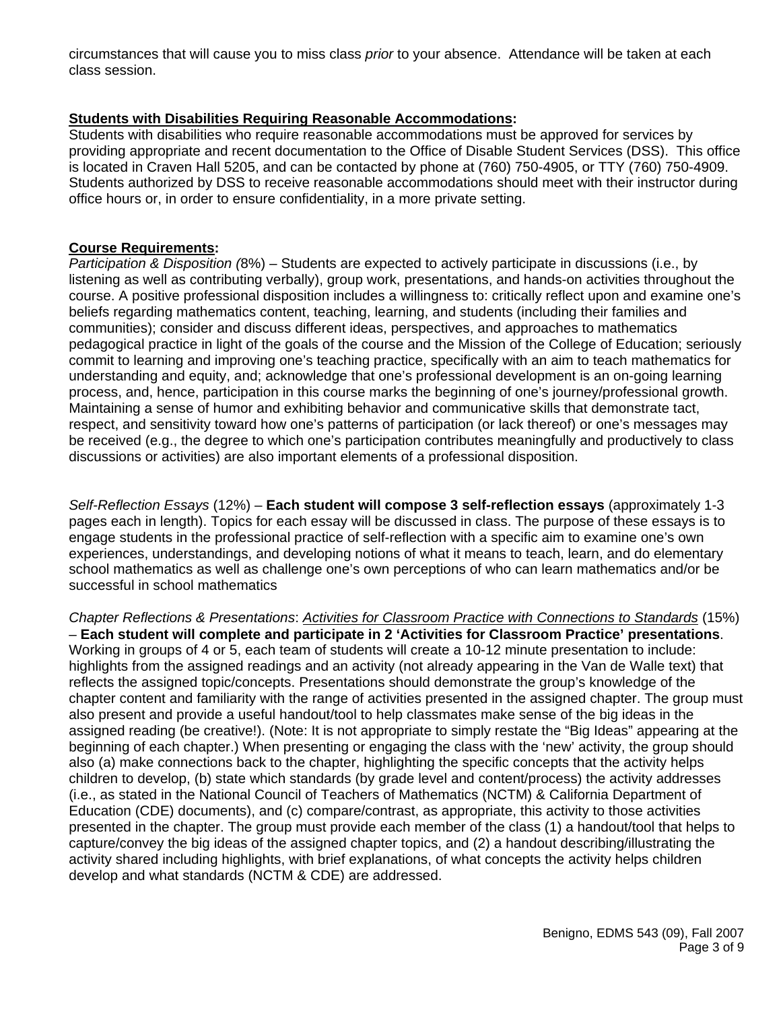circumstances that will cause you to miss class *prior* to your absence. Attendance will be taken at each class session.

## **Students with Disabilities Requiring Reasonable Accommodations:**

Students with disabilities who require reasonable accommodations must be approved for services by providing appropriate and recent documentation to the Office of Disable Student Services (DSS). This office is located in Craven Hall 5205, and can be contacted by phone at (760) 750-4905, or TTY (760) 750-4909. Students authorized by DSS to receive reasonable accommodations should meet with their instructor during office hours or, in order to ensure confidentiality, in a more private setting.

### **Course Requirements:**

*Participation & Disposition (*8%) – Students are expected to actively participate in discussions (i.e., by listening as well as contributing verbally), group work, presentations, and hands-on activities throughout the course. A positive professional disposition includes a willingness to: critically reflect upon and examine one's beliefs regarding mathematics content, teaching, learning, and students (including their families and communities); consider and discuss different ideas, perspectives, and approaches to mathematics pedagogical practice in light of the goals of the course and the Mission of the College of Education; seriously commit to learning and improving one's teaching practice, specifically with an aim to teach mathematics for understanding and equity, and; acknowledge that one's professional development is an on-going learning process, and, hence, participation in this course marks the beginning of one's journey/professional growth. Maintaining a sense of humor and exhibiting behavior and communicative skills that demonstrate tact, respect, and sensitivity toward how one's patterns of participation (or lack thereof) or one's messages may be received (e.g., the degree to which one's participation contributes meaningfully and productively to class discussions or activities) are also important elements of a professional disposition.

*Self-Reflection Essays* (12%) – **Each student will compose 3 self-reflection essays** (approximately 1-3 pages each in length). Topics for each essay will be discussed in class. The purpose of these essays is to engage students in the professional practice of self-reflection with a specific aim to examine one's own experiences, understandings, and developing notions of what it means to teach, learn, and do elementary school mathematics as well as challenge one's own perceptions of who can learn mathematics and/or be successful in school mathematics

*Chapter Reflections & Presentations*: *Activities for Classroom Practice with Connections to Standards* (15%) – **Each student will complete and participate in 2 'Activities for Classroom Practice' presentations**. Working in groups of 4 or 5, each team of students will create a 10-12 minute presentation to include: highlights from the assigned readings and an activity (not already appearing in the Van de Walle text) that reflects the assigned topic/concepts. Presentations should demonstrate the group's knowledge of the chapter content and familiarity with the range of activities presented in the assigned chapter. The group must also present and provide a useful handout/tool to help classmates make sense of the big ideas in the assigned reading (be creative!). (Note: It is not appropriate to simply restate the "Big Ideas" appearing at the beginning of each chapter.) When presenting or engaging the class with the 'new' activity, the group should also (a) make connections back to the chapter, highlighting the specific concepts that the activity helps children to develop, (b) state which standards (by grade level and content/process) the activity addresses (i.e., as stated in the National Council of Teachers of Mathematics (NCTM) & California Department of Education (CDE) documents), and (c) compare/contrast, as appropriate, this activity to those activities presented in the chapter. The group must provide each member of the class (1) a handout/tool that helps to capture/convey the big ideas of the assigned chapter topics, and (2) a handout describing/illustrating the activity shared including highlights, with brief explanations, of what concepts the activity helps children develop and what standards (NCTM & CDE) are addressed.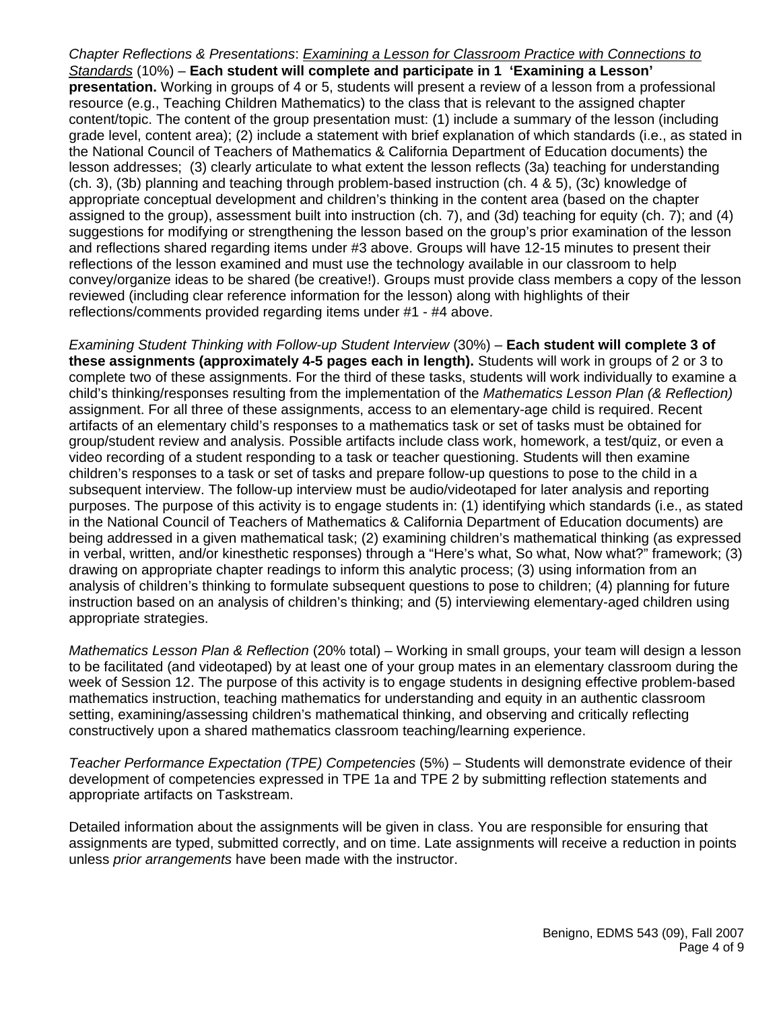*Chapter Reflections & Presentations*: *Examining a Lesson for Classroom Practice with Connections to Standards* (10%) – **Each student will complete and participate in 1 'Examining a Lesson' presentation.** Working in groups of 4 or 5, students will present a review of a lesson from a professional resource (e.g., Teaching Children Mathematics) to the class that is relevant to the assigned chapter content/topic. The content of the group presentation must: (1) include a summary of the lesson (including grade level, content area); (2) include a statement with brief explanation of which standards (i.e., as stated in the National Council of Teachers of Mathematics & California Department of Education documents) the lesson addresses; (3) clearly articulate to what extent the lesson reflects (3a) teaching for understanding (ch. 3), (3b) planning and teaching through problem-based instruction (ch. 4 & 5), (3c) knowledge of appropriate conceptual development and children's thinking in the content area (based on the chapter assigned to the group), assessment built into instruction (ch. 7), and (3d) teaching for equity (ch. 7); and (4) suggestions for modifying or strengthening the lesson based on the group's prior examination of the lesson and reflections shared regarding items under #3 above. Groups will have 12-15 minutes to present their reflections of the lesson examined and must use the technology available in our classroom to help convey/organize ideas to be shared (be creative!). Groups must provide class members a copy of the lesson reviewed (including clear reference information for the lesson) along with highlights of their reflections/comments provided regarding items under #1 - #4 above.

*Examining Student Thinking with Follow-up Student Interview* (30%) – **Each student will complete 3 of these assignments (approximately 4-5 pages each in length).** Students will work in groups of 2 or 3 to complete two of these assignments. For the third of these tasks, students will work individually to examine a child's thinking/responses resulting from the implementation of the *Mathematics Lesson Plan (& Reflection)*  assignment. For all three of these assignments, access to an elementary-age child is required. Recent artifacts of an elementary child's responses to a mathematics task or set of tasks must be obtained for group/student review and analysis. Possible artifacts include class work, homework, a test/quiz, or even a video recording of a student responding to a task or teacher questioning. Students will then examine children's responses to a task or set of tasks and prepare follow-up questions to pose to the child in a subsequent interview. The follow-up interview must be audio/videotaped for later analysis and reporting purposes. The purpose of this activity is to engage students in: (1) identifying which standards (i.e., as stated in the National Council of Teachers of Mathematics & California Department of Education documents) are being addressed in a given mathematical task; (2) examining children's mathematical thinking (as expressed in verbal, written, and/or kinesthetic responses) through a "Here's what, So what, Now what?" framework; (3) drawing on appropriate chapter readings to inform this analytic process; (3) using information from an analysis of children's thinking to formulate subsequent questions to pose to children; (4) planning for future instruction based on an analysis of children's thinking; and (5) interviewing elementary-aged children using appropriate strategies.

*Mathematics Lesson Plan & Reflection* (20% total) – Working in small groups, your team will design a lesson to be facilitated (and videotaped) by at least one of your group mates in an elementary classroom during the week of Session 12. The purpose of this activity is to engage students in designing effective problem-based mathematics instruction, teaching mathematics for understanding and equity in an authentic classroom setting, examining/assessing children's mathematical thinking, and observing and critically reflecting constructively upon a shared mathematics classroom teaching/learning experience.

*Teacher Performance Expectation (TPE) Competencies* (5%) – Students will demonstrate evidence of their development of competencies expressed in TPE 1a and TPE 2 by submitting reflection statements and appropriate artifacts on Taskstream.

Detailed information about the assignments will be given in class. You are responsible for ensuring that assignments are typed, submitted correctly, and on time. Late assignments will receive a reduction in points unless *prior arrangements* have been made with the instructor.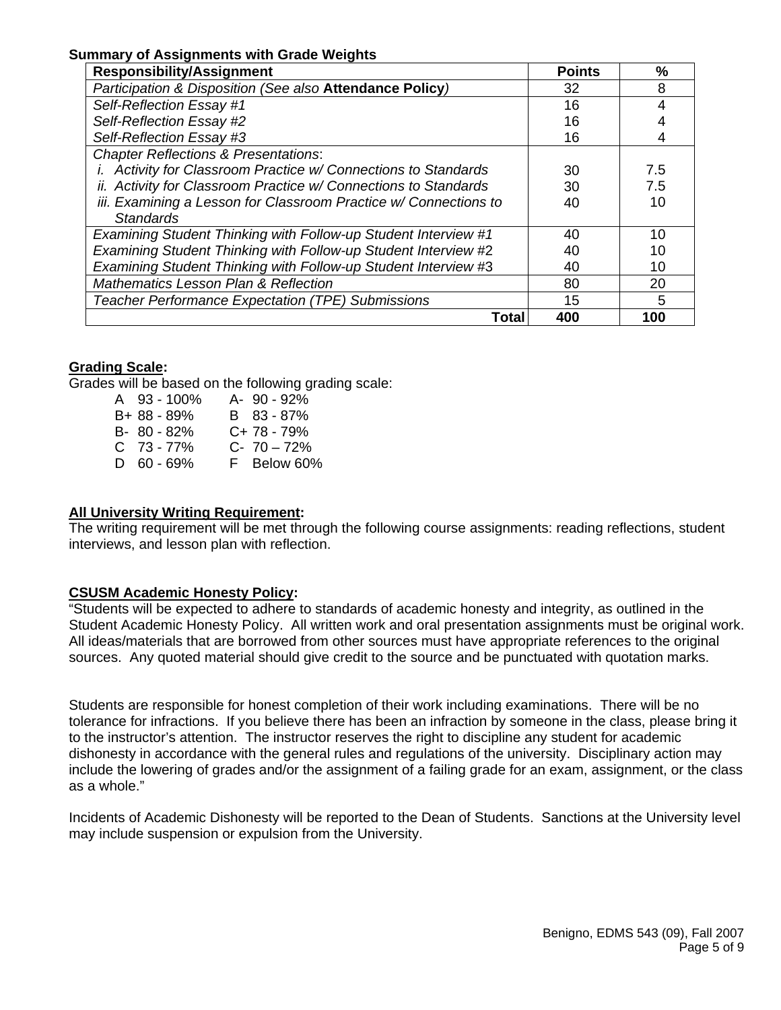#### **Summary of Assignments with Grade Weights**

| <b>Responsibility/Assignment</b>                                 | <b>Points</b> | $\frac{9}{6}$ |
|------------------------------------------------------------------|---------------|---------------|
| Participation & Disposition (See also Attendance Policy)         | 32            | 8             |
| Self-Reflection Essay #1                                         | 16            | 4             |
| Self-Reflection Essay #2                                         | 16            |               |
| Self-Reflection Essay #3                                         | 16            |               |
| <b>Chapter Reflections &amp; Presentations:</b>                  |               |               |
| i. Activity for Classroom Practice w/ Connections to Standards   | 30            | 7.5           |
| ii. Activity for Classroom Practice w/ Connections to Standards  | 30            | 7.5           |
| iii. Examining a Lesson for Classroom Practice w/ Connections to | 40            | 10            |
| <b>Standards</b>                                                 |               |               |
| Examining Student Thinking with Follow-up Student Interview #1   | 40            | 10            |
| Examining Student Thinking with Follow-up Student Interview #2   | 40            | 10            |
| Examining Student Thinking with Follow-up Student Interview #3   | 40            | 10            |
| <b>Mathematics Lesson Plan &amp; Reflection</b>                  | 80            | 20            |
| Teacher Performance Expectation (TPE) Submissions                | 15            | 5             |
| Total                                                            | 400           | 100           |

#### **Grading Scale:**

Grades will be based on the following grading scale:

| A 93 - 100%  | A- 90 - 92% |
|--------------|-------------|
| B+ 88 - 89%  | B 83 - 87%  |
| B- 80 - 82%  | C+78 - 79%  |
| C 73-77%     | $C-70-72%$  |
| $D$ 60 - 69% | F Below 60% |

#### **All University Writing Requirement:**

The writing requirement will be met through the following course assignments: reading reflections, student interviews, and lesson plan with reflection.

### **CSUSM Academic Honesty Policy:**

"Students will be expected to adhere to standards of academic honesty and integrity, as outlined in the Student Academic Honesty Policy. All written work and oral presentation assignments must be original work. All ideas/materials that are borrowed from other sources must have appropriate references to the original sources. Any quoted material should give credit to the source and be punctuated with quotation marks.

Students are responsible for honest completion of their work including examinations. There will be no tolerance for infractions. If you believe there has been an infraction by someone in the class, please bring it to the instructor's attention. The instructor reserves the right to discipline any student for academic dishonesty in accordance with the general rules and regulations of the university. Disciplinary action may include the lowering of grades and/or the assignment of a failing grade for an exam, assignment, or the class as a whole."

Incidents of Academic Dishonesty will be reported to the Dean of Students. Sanctions at the University level may include suspension or expulsion from the University.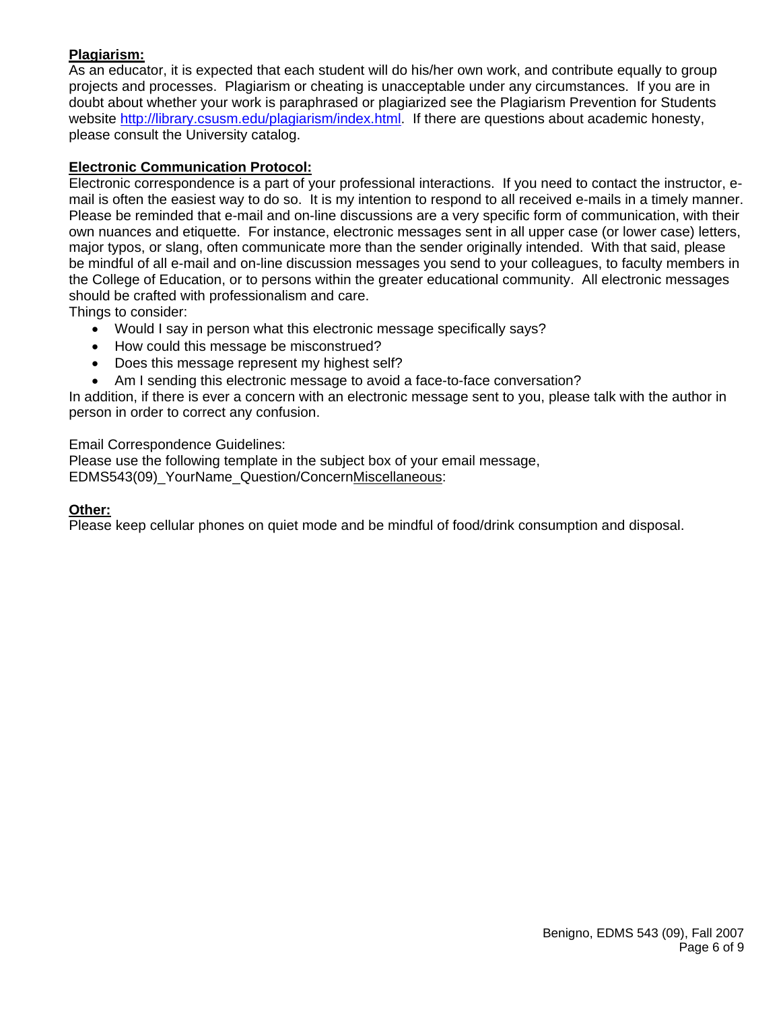## **Plagiarism:**

As an educator, it is expected that each student will do his/her own work, and contribute equally to group projects and processes. Plagiarism or cheating is unacceptable under any circumstances. If you are in doubt about whether your work is paraphrased or plagiarized see the Plagiarism Prevention for Students website http://library.csusm.edu/plagiarism/index.html. If there are questions about academic honesty, please consult the University catalog.

## **Electronic Communication Protocol:**

Electronic correspondence is a part of your professional interactions. If you need to contact the instructor, email is often the easiest way to do so. It is my intention to respond to all received e-mails in a timely manner. Please be reminded that e-mail and on-line discussions are a very specific form of communication, with their own nuances and etiquette. For instance, electronic messages sent in all upper case (or lower case) letters, major typos, or slang, often communicate more than the sender originally intended. With that said, please be mindful of all e-mail and on-line discussion messages you send to your colleagues, to faculty members in the College of Education, or to persons within the greater educational community. All electronic messages should be crafted with professionalism and care.

Things to consider:

- Would I say in person what this electronic message specifically says?
- How could this message be misconstrued?
- Does this message represent my highest self?
- Am I sending this electronic message to avoid a face-to-face conversation?

In addition, if there is ever a concern with an electronic message sent to you, please talk with the author in person in order to correct any confusion.

Email Correspondence Guidelines:

Please use the following template in the subject box of your email message, EDMS543(09)\_YourName\_Question/ConcernMiscellaneous:

### **Other:**

Please keep cellular phones on quiet mode and be mindful of food/drink consumption and disposal.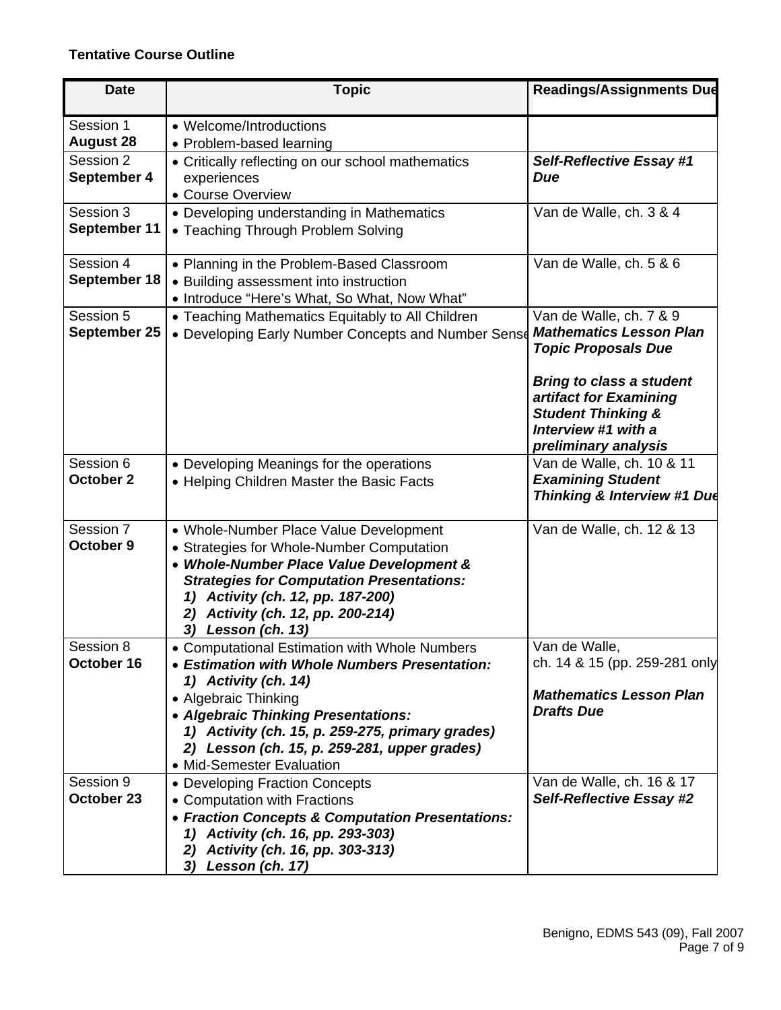## **Tentative Course Outline**

| <b>Date</b>                                | <b>Topic</b>                                                                                                                                                                                                                                                                                                           | <b>Readings/Assignments Due</b>                                                                                            |
|--------------------------------------------|------------------------------------------------------------------------------------------------------------------------------------------------------------------------------------------------------------------------------------------------------------------------------------------------------------------------|----------------------------------------------------------------------------------------------------------------------------|
| Session 1<br><b>August 28</b><br>Session 2 | • Welcome/Introductions<br>• Problem-based learning<br>• Critically reflecting on our school mathematics                                                                                                                                                                                                               | <b>Self-Reflective Essay #1</b>                                                                                            |
| September 4                                | experiences<br>• Course Overview                                                                                                                                                                                                                                                                                       | Due                                                                                                                        |
| Session 3<br>September 11                  | • Developing understanding in Mathematics<br>• Teaching Through Problem Solving                                                                                                                                                                                                                                        | Van de Walle, ch. 3 & 4                                                                                                    |
| Session 4<br>September 18                  | • Planning in the Problem-Based Classroom<br>• Building assessment into instruction<br>• Introduce "Here's What, So What, Now What"                                                                                                                                                                                    | Van de Walle, ch. 5 & 6                                                                                                    |
| Session 5<br>September 25                  | • Teaching Mathematics Equitably to All Children<br>• Developing Early Number Concepts and Number Sense                                                                                                                                                                                                                | Van de Walle, ch. 7 & 9<br><b>Mathematics Lesson Plan</b><br><b>Topic Proposals Due</b><br><b>Bring to class a student</b> |
|                                            |                                                                                                                                                                                                                                                                                                                        | artifact for Examining<br><b>Student Thinking &amp;</b><br>Interview #1 with a<br>preliminary analysis                     |
| Session 6<br>October 2                     | • Developing Meanings for the operations<br>• Helping Children Master the Basic Facts                                                                                                                                                                                                                                  | Van de Walle, ch. 10 & 11<br><b>Examining Student</b><br>Thinking & Interview #1 Due                                       |
| Session 7<br>October 9                     | • Whole-Number Place Value Development<br>• Strategies for Whole-Number Computation<br>• Whole-Number Place Value Development &<br><b>Strategies for Computation Presentations:</b><br>Activity (ch. 12, pp. 187-200)<br>1)<br>Activity (ch. 12, pp. 200-214)<br>2)<br>Lesson (ch. 13)<br>3)                           | Van de Walle, ch. 12 & 13                                                                                                  |
| Session 8<br>October 16                    | • Computational Estimation with Whole Numbers<br>• Estimation with Whole Numbers Presentation:<br>1) Activity (ch. 14)<br>• Algebraic Thinking<br>• Algebraic Thinking Presentations:<br>1) Activity (ch. 15, p. 259-275, primary grades)<br>2) Lesson (ch. 15, p. 259-281, upper grades)<br>• Mid-Semester Evaluation | Van de Walle,<br>ch. 14 & 15 (pp. 259-281 only<br><b>Mathematics Lesson Plan</b><br><b>Drafts Due</b>                      |
| Session 9<br>October 23                    | • Developing Fraction Concepts<br>• Computation with Fractions<br>• Fraction Concepts & Computation Presentations:<br>1) Activity (ch. 16, pp. 293-303)<br>Activity (ch. 16, pp. 303-313)<br>2)<br>3) Lesson (ch. 17)                                                                                                  | Van de Walle, ch. 16 & 17<br>Self-Reflective Essay #2                                                                      |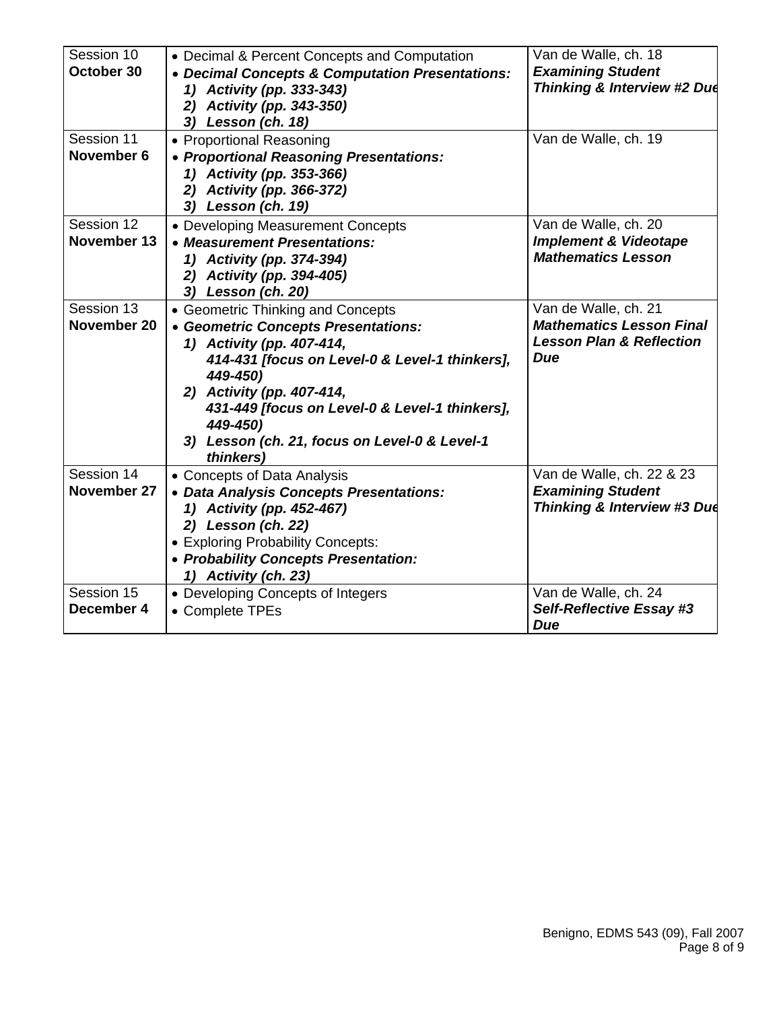| Session 10  | • Decimal & Percent Concepts and Computation    | Van de Walle, ch. 18                |
|-------------|-------------------------------------------------|-------------------------------------|
| October 30  | • Decimal Concepts & Computation Presentations: | <b>Examining Student</b>            |
|             | 1) Activity (pp. 333-343)                       | Thinking & Interview #2 Due         |
|             | 2) Activity (pp. 343-350)                       |                                     |
|             | 3) Lesson (ch. 18)                              |                                     |
| Session 11  | • Proportional Reasoning                        | Van de Walle, ch. 19                |
| November 6  | • Proportional Reasoning Presentations:         |                                     |
|             | 1) Activity (pp. 353-366)                       |                                     |
|             | 2) Activity (pp. 366-372)                       |                                     |
|             | 3) Lesson (ch. 19)                              |                                     |
| Session 12  | • Developing Measurement Concepts               | Van de Walle, ch. 20                |
| November 13 | • Measurement Presentations:                    | <b>Implement &amp; Videotape</b>    |
|             | 1) Activity (pp. 374-394)                       | <b>Mathematics Lesson</b>           |
|             | 2) Activity (pp. 394-405)                       |                                     |
|             | 3) Lesson (ch. 20)                              |                                     |
| Session 13  | • Geometric Thinking and Concepts               | Van de Walle, ch. 21                |
| November 20 | • Geometric Concepts Presentations:             | <b>Mathematics Lesson Final</b>     |
|             | 1) Activity (pp. 407-414,                       | <b>Lesson Plan &amp; Reflection</b> |
|             | 414-431 [focus on Level-0 & Level-1 thinkers],  | Due                                 |
|             | 449-450)                                        |                                     |
|             | 2) Activity (pp. 407-414,                       |                                     |
|             | 431-449 [focus on Level-0 & Level-1 thinkers],  |                                     |
|             | 449-450)                                        |                                     |
|             | 3) Lesson (ch. 21, focus on Level-0 & Level-1   |                                     |
|             | thinkers)                                       |                                     |
| Session 14  | • Concepts of Data Analysis                     | Van de Walle, ch. 22 & 23           |
| November 27 | • Data Analysis Concepts Presentations:         | <b>Examining Student</b>            |
|             | 1) Activity (pp. 452-467)                       | Thinking & Interview #3 Due         |
|             | 2) Lesson (ch. 22)                              |                                     |
|             | • Exploring Probability Concepts:               |                                     |
|             | • Probability Concepts Presentation:            |                                     |
|             | 1) Activity (ch. 23)                            |                                     |
| Session 15  | • Developing Concepts of Integers               | Van de Walle, ch. 24                |
| December 4  | • Complete TPEs                                 | Self-Reflective Essay #3            |
|             |                                                 | <b>Due</b>                          |